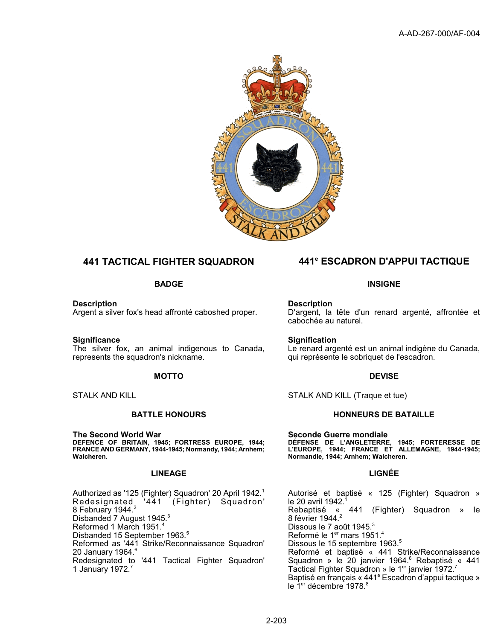

**Description** Argent a silver fox's head affronté caboshed proper.

**Significance** The silver fox, an animal indigenous to Canada, represents the squadron's nickname.

**The Second World War DEFENCE OF BRITAIN, 1945; FORTRESS EUROPE, 1944; FRANCE AND GERMANY, 1944-1945; Normandy, 1944; Arnhem; Walcheren.**

# **LINEAGE LIGNÉE**

Authorized as '125 (Fighter) Squadron' 20 April 1942.<sup>1</sup> (Fighter) Squadron' 8 February 1944.<sup>2</sup> Disbanded 7 August 1945.<sup>3</sup> Reformed 1 March 1951. Disbanded 15 September 1963.<sup>5</sup> Reformed as '441 Strike/Reconnaissance Squadron' 20 January 1964.<sup>6</sup> Redesignated to '441 Tactical Fighter Squadron' 1 January 1972.<sup>7</sup>

# **441 TACTICAL FIGHTER SQUADRON 441<sup>e</sup> ESCADRON D'APPUI TACTIQUE**

## **BADGE INSIGNE**

**Description** D'argent, la tête d'un renard argenté, affrontée et cabochée au naturel.

**Signification** Le renard argenté est un animal indigène du Canada, qui représente le sobriquet de l'escadron.

# **MOTTO** DEVISE

STALK AND KILL STALK AND KILL (Traque et tue)

### **BATTLE HONOURS CONSUMING A RESIDENCE HONOURS DE BATAILLE**

**Seconde Guerre mondiale DÉFENSE DE L'ANGLETERRE, 1945; FORTERESSE DE L'EUROPE, 1944; FRANCE ET ALLEMAGNE, 1944-1945; Normandie, 1944; Arnhem; Walcheren.**

Autorisé et baptisé « 125 (Fighter) Squadron » le 20 avril 1942.<sup>1</sup><br>Rebaptisé « 441 « 441 (Fighter) Squadron » le 8 février 1944.<sup>2</sup> Dissous le 7 août 1945.<sup>3</sup> Reformé le 1er mars 1951.<sup>4</sup> Dissous le 15 septembre 1963.<sup>5</sup> Reformé et baptisé « 441 Strike/Reconnaissance Squadron » le 20 janvier 1964.<sup>6</sup> Rebaptisé « 441 Tactical Fighter Squadron » le 1<sup>er</sup> janvier 1972.<sup>7</sup> Baptisé en français « 441<sup>e</sup> Escadron d'appui tactique » le 1<sup>er</sup> décembre 1978.<sup>8</sup>